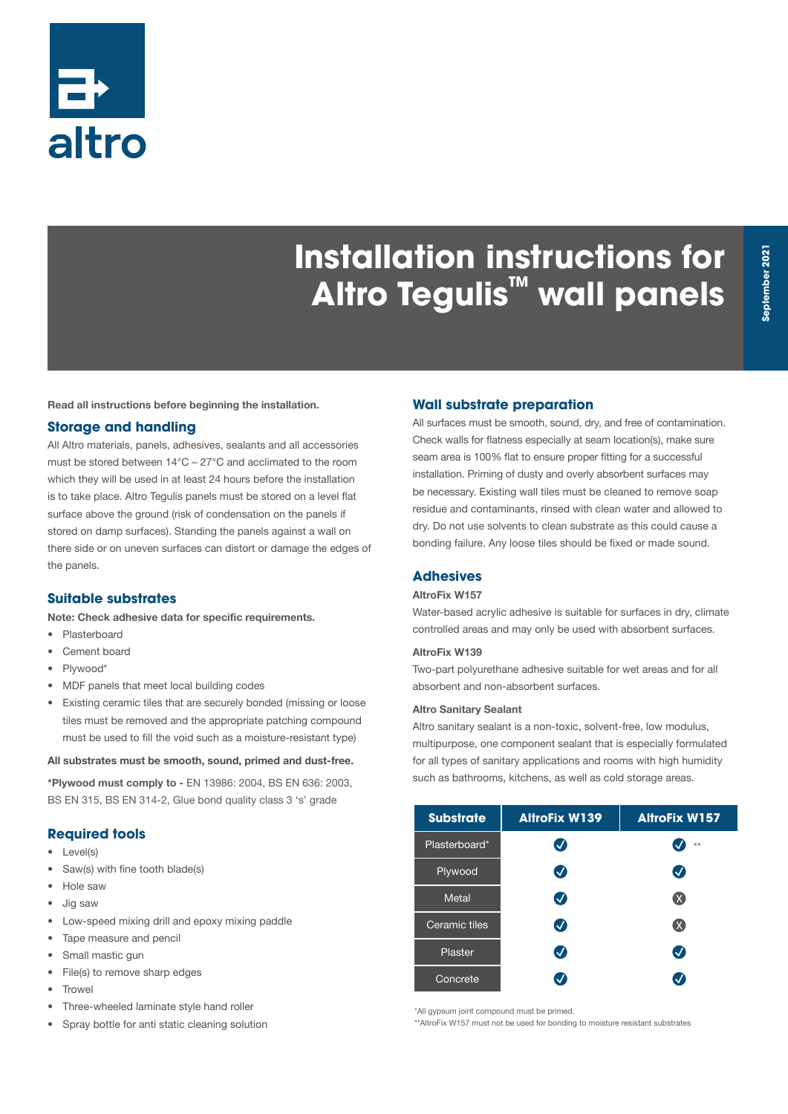

# **Installation instructions for Altro Tegulis<sup>™</sup> wall panels**

Read all instructions before beginning the installation.

# **Storage and handling**

All Altro materials, panels, adhesives, sealants and all accessories must be stored between 14°C – 27°C and acclimated to the room which they will be used in at least 24 hours before the installation is to take place. Altro Tegulis panels must be stored on a level flat surface above the ground (risk of condensation on the panels if stored on damp surfaces). Standing the panels against a wall on there side or on uneven surfaces can distort or damage the edges of the panels.

# **Suitable substrates**

Note: Check adhesive data for specific requirements.

- Plasterboard
- Cement board
- Plywood\*
- MDF panels that meet local building codes
- Existing ceramic tiles that are securely bonded (missing or loose tiles must be removed and the appropriate patching compound must be used to fill the void such as a moisture-resistant type)

#### All substrates must be smooth, sound, primed and dust-free.

\*Plywood must comply to - EN 13986: 2004, BS EN 636: 2003, BS EN 315, BS EN 314-2, Glue bond quality class 3 's' grade

## **Required tools**

- Level(s)
- Saw(s) with fine tooth blade(s)
- Hole saw
- Jig saw
- Low-speed mixing drill and epoxy mixing paddle
- Tape measure and pencil
- Small mastic gun
- File(s) to remove sharp edges
- $Tr_{\Omega}$ <sub>14</sub> $\approx$
- Three-wheeled laminate style hand roller
- Spray bottle for anti static cleaning solution

### **Wall substrate preparation**

All surfaces must be smooth, sound, dry, and free of contamination. Check walls for flatness especially at seam location(s), make sure seam area is 100% flat to ensure proper fitting for a successful installation. Priming of dusty and overly absorbent surfaces may be necessary. Existing wall tiles must be cleaned to remove soap residue and contaminants, rinsed with clean water and allowed to dry. Do not use solvents to clean substrate as this could cause a bonding failure. Any loose tiles should be fixed or made sound.

# **Adhesives**

#### AltroFix W157

Water-based acrylic adhesive is suitable for surfaces in dry, climate controlled areas and may only be used with absorbent surfaces.

#### AltroFix W139

Two-part polyurethane adhesive suitable for wet areas and for all absorbent and non-absorbent surfaces.

#### Altro Sanitary Sealant

Altro sanitary sealant is a non-toxic, solvent-free, low modulus, multipurpose, one component sealant that is especially formulated for all types of sanitary applications and rooms with high humidity such as bathrooms, kitchens, as well as cold storage areas.

| <b>Substrate</b> | <b>AltroFix W139</b>      | <b>AltroFix W157</b> |
|------------------|---------------------------|----------------------|
| Plasterboard*    | $\bm{\bm{\triangledown}}$ | $**$                 |
| Plywood          | $\bullet$                 | $\bullet$            |
| Metal            | $\boldsymbol{\omega}$     | $\infty$             |
| Ceramic tiles    | Ø                         | $(\mathsf{X})$       |
| Plaster          | Ø                         | $\bm{\mathcal{Q}}$   |
| Concrete         |                           |                      |

\*All gypsum joint compound must be primed.

\*\*AltroFix W157 must not be used for bonding to moisture resistant substrates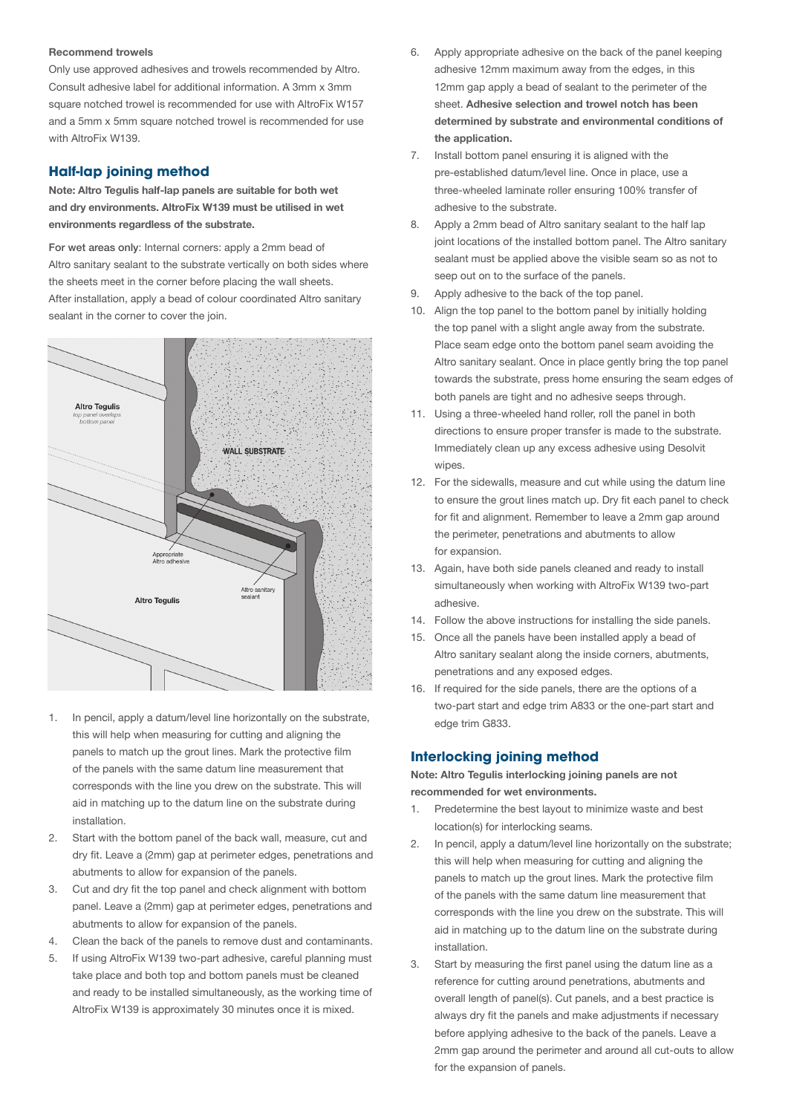#### Recommend trowels

Only use approved adhesives and trowels recommended by Altro. Consult adhesive label for additional information. A 3mm x 3mm square notched trowel is recommended for use with AltroFix W157 and a 5mm x 5mm square notched trowel is recommended for use with AltroFix W139.

# **Half-lap joining method**

Note: Altro Tegulis half-lap panels are suitable for both wet and dry environments. AltroFix W139 must be utilised in wet environments regardless of the substrate.

For wet areas only: Internal corners: apply a 2mm bead of Altro sanitary sealant to the substrate vertically on both sides where the sheets meet in the corner before placing the wall sheets. After installation, apply a bead of colour coordinated Altro sanitary sealant in the corner to cover the join.



- 1. In pencil, apply a datum/level line horizontally on the substrate, this will help when measuring for cutting and aligning the panels to match up the grout lines. Mark the protective film of the panels with the same datum line measurement that corresponds with the line you drew on the substrate. This will aid in matching up to the datum line on the substrate during installation.
- 2. Start with the bottom panel of the back wall, measure, cut and dry fit. Leave a (2mm) gap at perimeter edges, penetrations and abutments to allow for expansion of the panels.
- 3. Cut and dry fit the top panel and check alignment with bottom panel. Leave a (2mm) gap at perimeter edges, penetrations and abutments to allow for expansion of the panels.
- 4. Clean the back of the panels to remove dust and contaminants.
- 5. If using AltroFix W139 two-part adhesive, careful planning must take place and both top and bottom panels must be cleaned and ready to be installed simultaneously, as the working time of AltroFix W139 is approximately 30 minutes once it is mixed.
- 6. Apply appropriate adhesive on the back of the panel keeping adhesive 12mm maximum away from the edges, in this 12mm gap apply a bead of sealant to the perimeter of the sheet. Adhesive selection and trowel notch has been determined by substrate and environmental conditions of the application.
- 7. Install bottom panel ensuring it is aligned with the pre-established datum/level line. Once in place, use a three-wheeled laminate roller ensuring 100% transfer of adhesive to the substrate.
- 8. Apply a 2mm bead of Altro sanitary sealant to the half lap joint locations of the installed bottom panel. The Altro sanitary sealant must be applied above the visible seam so as not to seep out on to the surface of the panels.
- 9. Apply adhesive to the back of the top panel.
- 10. Align the top panel to the bottom panel by initially holding the top panel with a slight angle away from the substrate. Place seam edge onto the bottom panel seam avoiding the Altro sanitary sealant. Once in place gently bring the top panel towards the substrate, press home ensuring the seam edges of both panels are tight and no adhesive seeps through.
- 11. Using a three-wheeled hand roller, roll the panel in both directions to ensure proper transfer is made to the substrate. Immediately clean up any excess adhesive using Desolvit wipes.
- 12. For the sidewalls, measure and cut while using the datum line to ensure the grout lines match up. Dry fit each panel to check for fit and alignment. Remember to leave a 2mm gap around the perimeter, penetrations and abutments to allow for expansion.
- 13. Again, have both side panels cleaned and ready to install simultaneously when working with AltroFix W139 two-part adhesive.
- 14. Follow the above instructions for installing the side panels.
- 15. Once all the panels have been installed apply a bead of Altro sanitary sealant along the inside corners, abutments, penetrations and any exposed edges.
- 16. If required for the side panels, there are the options of a two-part start and edge trim A833 or the one-part start and edge trim G833.

# **Interlocking joining method**

Note: Altro Tegulis interlocking joining panels are not recommended for wet environments.

- 1. Predetermine the best layout to minimize waste and best location(s) for interlocking seams.
- 2. In pencil, apply a datum/level line horizontally on the substrate; this will help when measuring for cutting and aligning the panels to match up the grout lines. Mark the protective film of the panels with the same datum line measurement that corresponds with the line you drew on the substrate. This will aid in matching up to the datum line on the substrate during installation.
- 3. Start by measuring the first panel using the datum line as a reference for cutting around penetrations, abutments and overall length of panel(s). Cut panels, and a best practice is always dry fit the panels and make adjustments if necessary before applying adhesive to the back of the panels. Leave a 2mm gap around the perimeter and around all cut-outs to allow for the expansion of panels.